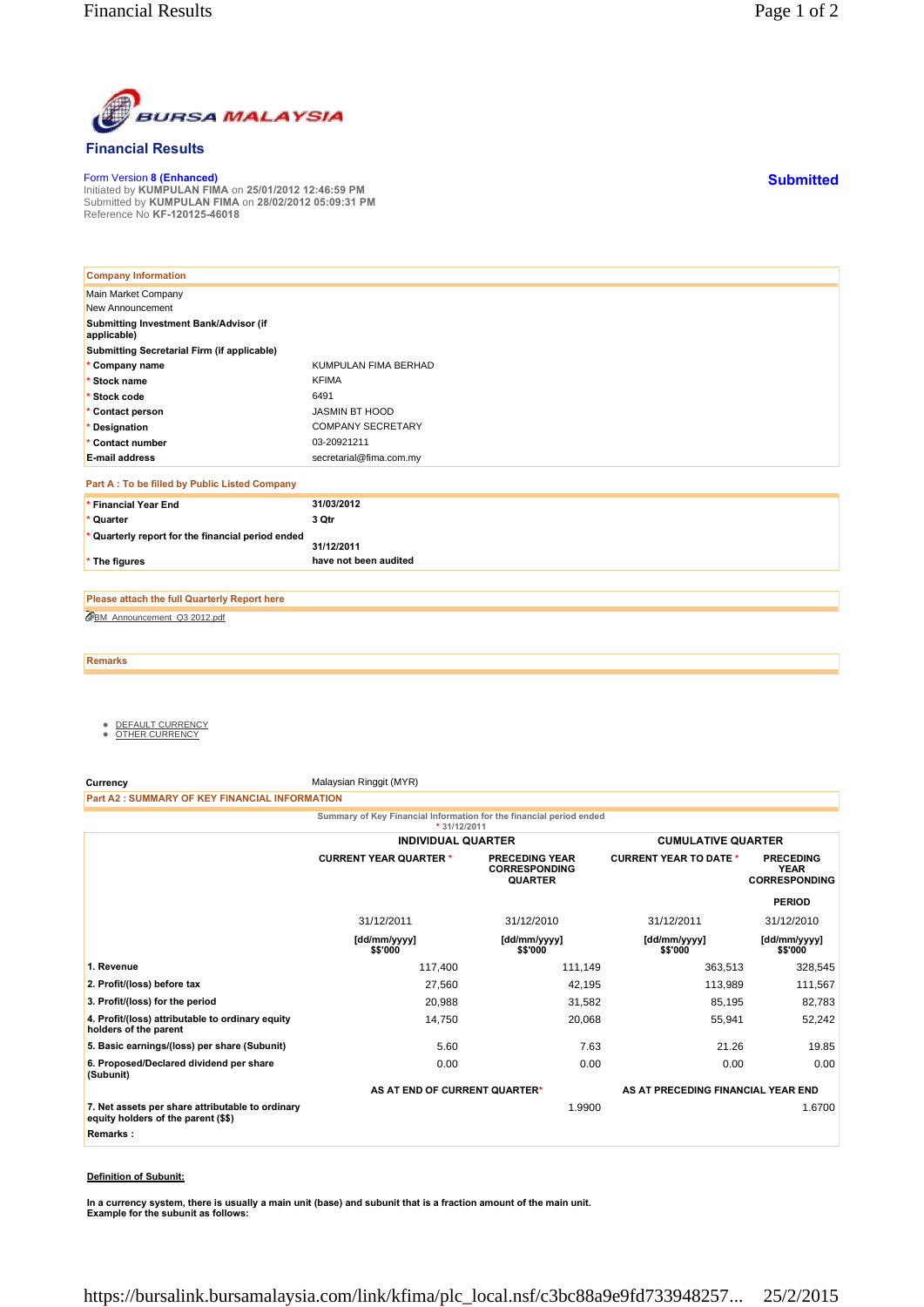

## **Financial Results**

Form Version **8 (Enhanced)** Initiated by **KUMPULAN FIMA** on **25/01/2012 12:46:59 PM** Submitted by **KUMPULAN FIMA** on **28/02/2012 05:09:31 PM** Reference No **KF-120125-46018**

| <b>Company Information</b>                            |                          |
|-------------------------------------------------------|--------------------------|
| Main Market Company                                   |                          |
| New Announcement                                      |                          |
| Submitting Investment Bank/Advisor (if<br>applicable) |                          |
| Submitting Secretarial Firm (if applicable)           |                          |
| * Company name                                        | KUMPULAN FIMA BERHAD     |
| * Stock name                                          | <b>KFIMA</b>             |
| * Stock code                                          | 6491                     |
| * Contact person                                      | <b>JASMIN BT HOOD</b>    |
| * Designation                                         | <b>COMPANY SECRETARY</b> |
| * Contact number                                      | 03-20921211              |
| <b>E-mail address</b>                                 | secretarial@fima.com.my  |
| Part A : To be filled by Public Listed Company        |                          |
| * Financial Year End                                  | 31/03/2012               |
| * Quarter                                             | 3 Qtr                    |
| * Quarterly report for the financial period ended     | 31/12/2011               |
| * The figures                                         | have not been audited    |

BM\_Announcement\_Q3 2012.pdf **Please attach the full Quarterly Report here**

**Remarks**

- <u>DEFAULT CURRENCY</u><br>● <u>OTHER CURRENCY</u>
- 

**Currency** Malaysian Ringgit (MYR)

**Part A2 : SUMMARY OF KEY FINANCIAL INFORMATION**

**Summary of Key Financial Information for the financial period ended \* 31/12/2011**

|                                                                                         | <b>INDIVIDUAL QUARTER</b>     |                                                                 | <b>CUMULATIVE QUARTER</b>          |                                                         |
|-----------------------------------------------------------------------------------------|-------------------------------|-----------------------------------------------------------------|------------------------------------|---------------------------------------------------------|
|                                                                                         | <b>CURRENT YEAR QUARTER *</b> | <b>PRECEDING YEAR</b><br><b>CORRESPONDING</b><br><b>QUARTER</b> | <b>CURRENT YEAR TO DATE *</b>      | <b>PRECEDING</b><br><b>YEAR</b><br><b>CORRESPONDING</b> |
|                                                                                         |                               |                                                                 |                                    | <b>PERIOD</b>                                           |
|                                                                                         | 31/12/2011                    | 31/12/2010                                                      | 31/12/2011                         | 31/12/2010                                              |
|                                                                                         | [dd/mm/yyyy]<br>\$\$'000      | [dd/mm/yyyy]<br>\$\$'000                                        | [dd/mm/yyyy]<br>\$\$'000           | [dd/mm/yyyy]<br>\$\$'000                                |
| 1. Revenue                                                                              | 117,400                       | 111,149                                                         | 363,513                            | 328,545                                                 |
| 2. Profit/(loss) before tax                                                             | 27,560                        | 42,195                                                          | 113,989                            | 111,567                                                 |
| 3. Profit/(loss) for the period                                                         | 20,988                        | 31,582                                                          | 85,195                             | 82,783                                                  |
| 4. Profit/(loss) attributable to ordinary equity<br>holders of the parent               | 14,750                        | 20,068                                                          | 55,941                             | 52,242                                                  |
| 5. Basic earnings/(loss) per share (Subunit)                                            | 5.60                          | 7.63                                                            | 21.26                              | 19.85                                                   |
| 6. Proposed/Declared dividend per share<br>(Subunit)                                    | 0.00                          | 0.00                                                            | 0.00                               | 0.00                                                    |
|                                                                                         | AS AT END OF CURRENT QUARTER* |                                                                 | AS AT PRECEDING FINANCIAL YEAR END |                                                         |
| 7. Net assets per share attributable to ordinary<br>equity holders of the parent (\$\$) |                               | 1.9900                                                          |                                    | 1.6700                                                  |
| Remarks:                                                                                |                               |                                                                 |                                    |                                                         |

## **Definition of Subunit:**

**In a currency system, there is usually a main unit (base) and subunit that is a fraction amount of the main unit. Example for the subunit as follows:**

**Submitted**